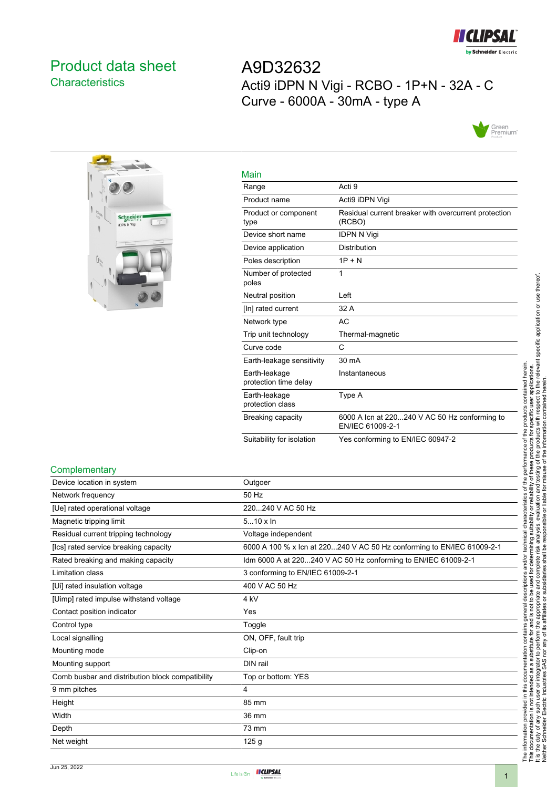

# <span id="page-0-0"></span>Product data sheet **Characteristics**

A9D32632 Acti9 iDPN N Vigi - RCBO - 1P+N - 32A - C Curve - 6000A - 30mA - type A





| Main                                   |                                                                   |
|----------------------------------------|-------------------------------------------------------------------|
| Range                                  | Acti 9                                                            |
| Product name                           | Acti9 iDPN Vigi                                                   |
| Product or component<br>type           | Residual current breaker with overcurrent protection<br>(RCBO)    |
| Device short name                      | <b>IDPN N Vigi</b>                                                |
| Device application                     | Distribution                                                      |
| Poles description                      | $1P + N$                                                          |
| Number of protected<br>poles           | 1                                                                 |
| Neutral position                       | Left                                                              |
| [In] rated current                     | 32 A                                                              |
| Network type                           | AC                                                                |
| Trip unit technology                   | Thermal-magnetic                                                  |
| Curve code                             | C                                                                 |
| Earth-leakage sensitivity              | 30 mA                                                             |
| Earth-leakage<br>protection time delay | Instantaneous                                                     |
| Earth-leakage<br>protection class      | Type A                                                            |
| Breaking capacity                      | 6000 A Icn at 220240 V AC 50 Hz conforming to<br>EN/IEC 61009-2-1 |
| Suitability for isolation              | Yes conforming to EN/IEC 60947-2                                  |

#### **Complementary**

| Device location in system                        | Outgoer                                                                |
|--------------------------------------------------|------------------------------------------------------------------------|
| Network frequency                                | 50 Hz                                                                  |
| [Ue] rated operational voltage                   | 220240 V AC 50 Hz                                                      |
| Magnetic tripping limit                          | $510 \times \ln$                                                       |
| Residual current tripping technology             | Voltage independent                                                    |
| [Ics] rated service breaking capacity            | 6000 A 100 % x Icn at 220240 V AC 50 Hz conforming to EN/IEC 61009-2-1 |
| Rated breaking and making capacity               | Idm 6000 A at 220240 V AC 50 Hz conforming to EN/IEC 61009-2-1         |
| Limitation class                                 | 3 conforming to EN/IEC 61009-2-1                                       |
| [Ui] rated insulation voltage                    | 400 V AC 50 Hz                                                         |
| [Uimp] rated impulse withstand voltage           | 4 kV                                                                   |
| Contact position indicator                       | Yes                                                                    |
| Control type                                     | Toggle                                                                 |
| Local signalling                                 | ON, OFF, fault trip                                                    |
| Mounting mode                                    | Clip-on                                                                |
| Mounting support                                 | DIN rail                                                               |
| Comb busbar and distribution block compatibility | Top or bottom: YES                                                     |
| 9 mm pitches                                     | 4                                                                      |
| Height                                           | 85 mm                                                                  |
| Width                                            | 36 mm                                                                  |
| Depth                                            | 73 mm                                                                  |
| Net weight                                       | 125 <sub>g</sub>                                                       |

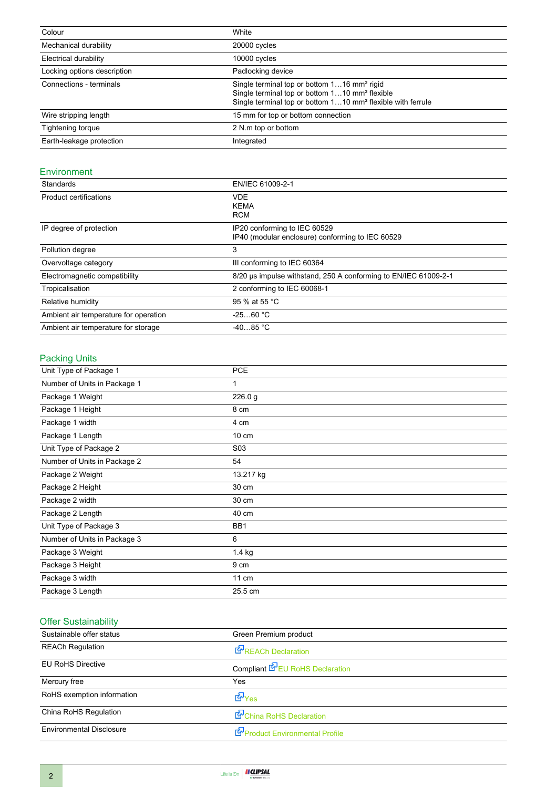| Colour                      | White                                                                                                                                                                                            |
|-----------------------------|--------------------------------------------------------------------------------------------------------------------------------------------------------------------------------------------------|
| Mechanical durability       | 20000 cycles                                                                                                                                                                                     |
| Electrical durability       | 10000 cycles                                                                                                                                                                                     |
| Locking options description | Padlocking device                                                                                                                                                                                |
| Connections - terminals     | Single terminal top or bottom 116 mm <sup>2</sup> rigid<br>Single terminal top or bottom 110 mm <sup>2</sup> flexible<br>Single terminal top or bottom 110 mm <sup>2</sup> flexible with ferrule |
| Wire stripping length       | 15 mm for top or bottom connection                                                                                                                                                               |
| Tightening torque           | 2 N.m top or bottom                                                                                                                                                                              |
| Earth-leakage protection    | Integrated                                                                                                                                                                                       |

#### Environment

| Standards                             | EN/IEC 61009-2-1                                                                 |
|---------------------------------------|----------------------------------------------------------------------------------|
| <b>Product certifications</b>         | <b>VDE</b><br><b>KEMA</b><br><b>RCM</b>                                          |
| IP degree of protection               | IP20 conforming to IEC 60529<br>IP40 (modular enclosure) conforming to IEC 60529 |
| Pollution degree                      | 3                                                                                |
| Overvoltage category                  | III conforming to IEC 60364                                                      |
| Electromagnetic compatibility         | 8/20 us impulse withstand, 250 A conforming to EN/IEC 61009-2-1                  |
| Tropicalisation                       | 2 conforming to IEC 60068-1                                                      |
| Relative humidity                     | 95 % at 55 °C                                                                    |
| Ambient air temperature for operation | $-2560 °C$                                                                       |
| Ambient air temperature for storage   | $-4085 °C$                                                                       |

### Packing Units

| Unit Type of Package 1       | <b>PCE</b>       |
|------------------------------|------------------|
| Number of Units in Package 1 | 1                |
| Package 1 Weight             | 226.0 g          |
| Package 1 Height             | 8 cm             |
| Package 1 width              | 4 cm             |
| Package 1 Length             | $10 \text{ cm}$  |
| Unit Type of Package 2       | S <sub>0</sub> 3 |
| Number of Units in Package 2 | 54               |
| Package 2 Weight             | 13.217 kg        |
| Package 2 Height             | 30 cm            |
| Package 2 width              | 30 cm            |
| Package 2 Length             | 40 cm            |
| Unit Type of Package 3       | BB1              |
| Number of Units in Package 3 | 6                |
| Package 3 Weight             | 1.4 kg           |
| Package 3 Height             | 9 cm             |
| Package 3 width              | $11 \text{ cm}$  |
| Package 3 Length             | 25.5 cm          |

## Offer Sustainability

| Sustainable offer status        | Green Premium product                  |
|---------------------------------|----------------------------------------|
| <b>REACh Regulation</b>         | <b>REACh Declaration</b>               |
| <b>EU RoHS Directive</b>        | Compliant <b>E</b> EU RoHS Declaration |
| Mercury free                    | Yes                                    |
| RoHS exemption information      | <b>E</b> Yes                           |
| China RoHS Regulation           | China RoHS Declaration                 |
| <b>Environmental Disclosure</b> | Product Environmental Profile          |